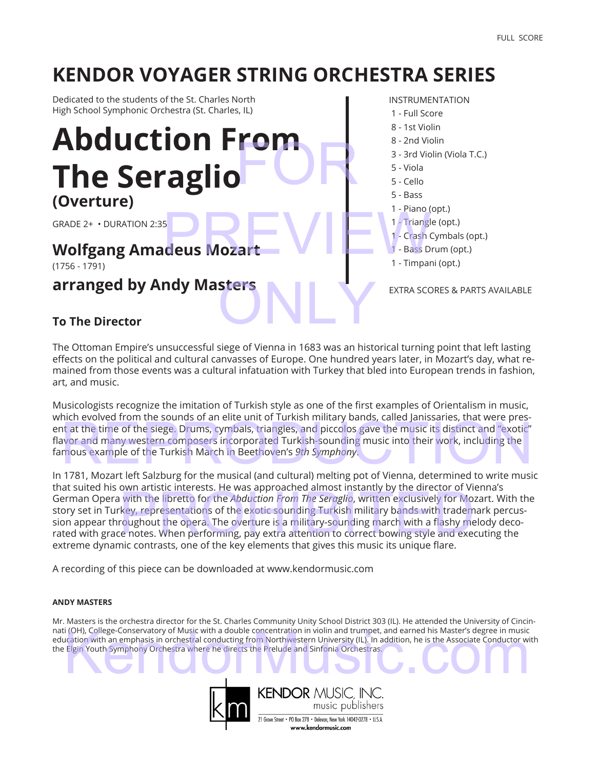# **KENDOR VOYAGER STRING ORCHESTRA SERIES**

Dedicated to the students of the St. Charles North High School Symphonic Orchestra (St. Charles, IL)

## **Abduction From The Seraglio (Overture)** FOR

GRADE 2+ • DURATION 2:35

**Wolfgang Amadeus Mozart**

(1756 - 1791)

**arranged by Andy Masters** Sters NLY

### **To The Director**

INSTRUMENTATION 1 - Full Score

- 8 1st Violin
- 
- 8 2nd Violin 3 - 3rd Violin (Viola T.C.)
- 5 Viola
- 5 Cello
- 5 Bass
- 1 Piano (opt.)
- 1 Triangle (opt.)
- 1 Crash Cymbals (opt.)
- 1 Bass Drum (opt.) S<br> **S**<br> **Reus Mozart**<br> **Reus Mozart**<br> **Reus Drum**<br>
1 - Timpani (o
	- 1 Timpani (opt.)

EXTRA SCORES & PARTS AVAILABLE

The Ottoman Empire's unsuccessful siege of Vienna in 1683 was an historical turning point that left lasting effects on the political and cultural canvasses of Europe. One hundred years later, in Mozart's day, what remained from those events was a cultural infatuation with Turkey that bled into European trends in fashion, art, and music.

Musicologists recognize the imitation of Turkish style as one of the first examples of Orientalism in music, which evolved from the sounds of an elite unit of Turkish military bands, called Janissaries, that were present at the time of the siege. Drums, cymbals, triangles, and piccolos gave the music its distinct and "exotic"<br>flavor and many western composers incorporated Turkish-sounding music into their work, including the<br>famous exa flavor and many western composers incorporated Turkish-sounding music into their work, including the famous example of the Turkish March in Beethoven's *9th Symphony*.

In 1781, Mozart left Salzburg for the musical (and cultural) melting pot of Vienna, determined to write music that suited his own artistic interests. He was approached almost instantly by the director of Vienna's German Opera with the libretto for the *Abduction From The Seraglio*, written exclusively for Mozart. With the story set in Turkey, representations of the exotic sounding Turkish military bands with trademark percussion appear throughout the opera. The overture is a military-sounding march with a flashy melody decorated with grace notes. When performing, pay extra attention to correct bowing style and executing the extreme dynamic contrasts, one of the key elements that gives this music its unique flare. with the libretto for the *Abduction From The Seraglio*, written exclusively for Mozart<br>key, representations of the exotic sounding Turkish military bands with trademark<br>roughout the opera. The overture is a military-sound

A recording of this piece can be downloaded at www.kendormusic.com

#### **ANDY MASTERS**

Mr. Masters is the orchestra director for the St. Charles Community Unity School District 303 (IL). He attended the University of Cincinnati (OH), College-Conservatory of Music with a double concentration in violin and trumpet, and earned his Master's degree in music nati (OH), College-Conservatory of Music with a double concentration in violin and trumpet, and earned his Master's degree in music<br>education with an emphasis in orchestral conducting from Northwestern University (IL). In the Elgin Youth Symphony Orchestra where he directs the Prelude and Sinfonia Orchestras.

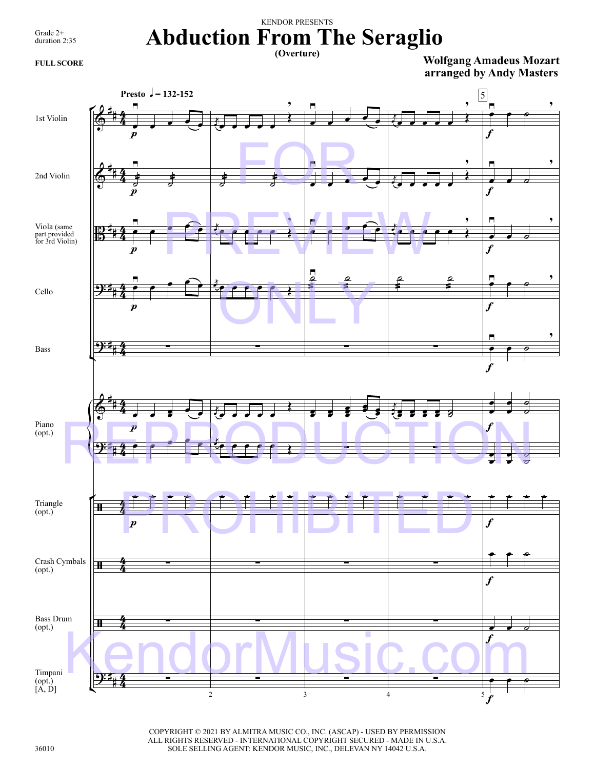#### **(Overture)** Grade 2+<br>duration 2:35 **Abduction From The Seraglio** KENDOR PRESENTS

**FULL SCORE**

**Wolfgang Amadeus Mozart arranged by Andy Masters**



COPYRIGHT © 2021 BY ALMITRA MUSIC CO., INC. (ASCAP) - USED BY PERMISSION ALL RIGHTS RESERVED - INTERNATIONAL COPYRIGHT SECURED - MADE IN U.S.A. SOLE SELLING AGENT: KENDOR MUSIC, INC., DELEVAN NY 14042 U.S.A.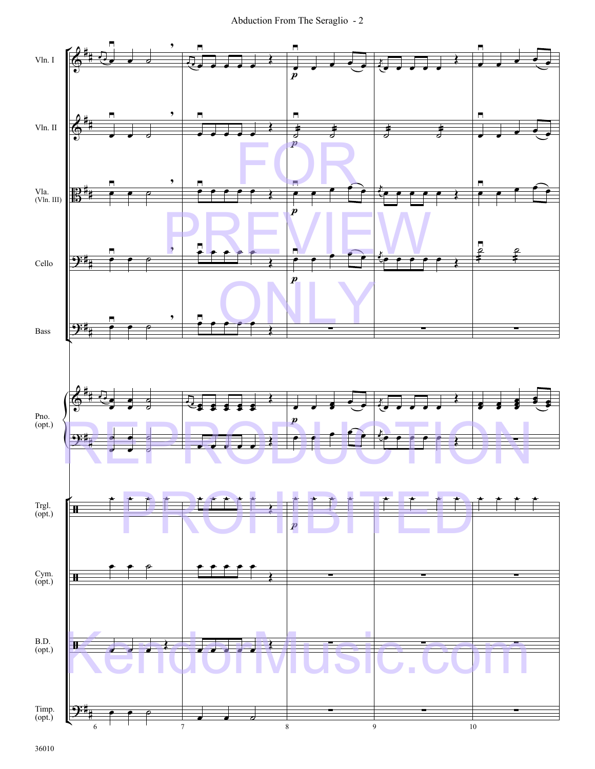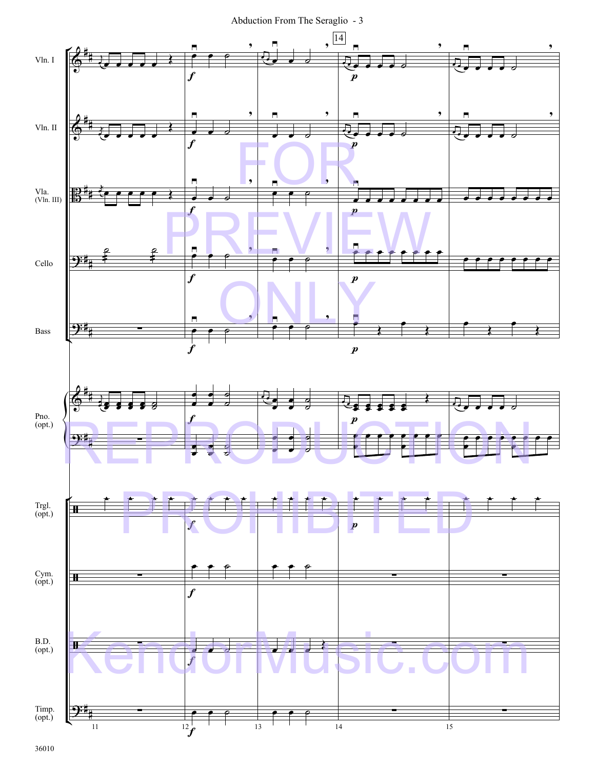Abduction From The Seraglio - 3

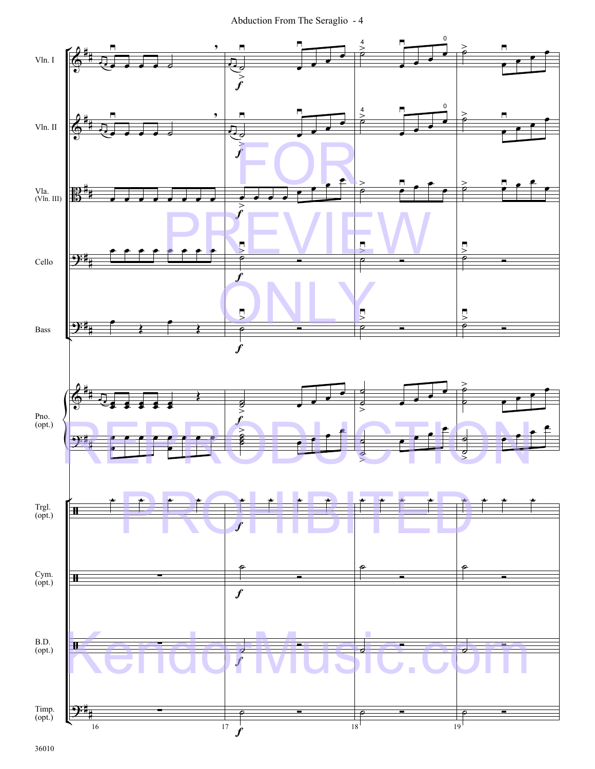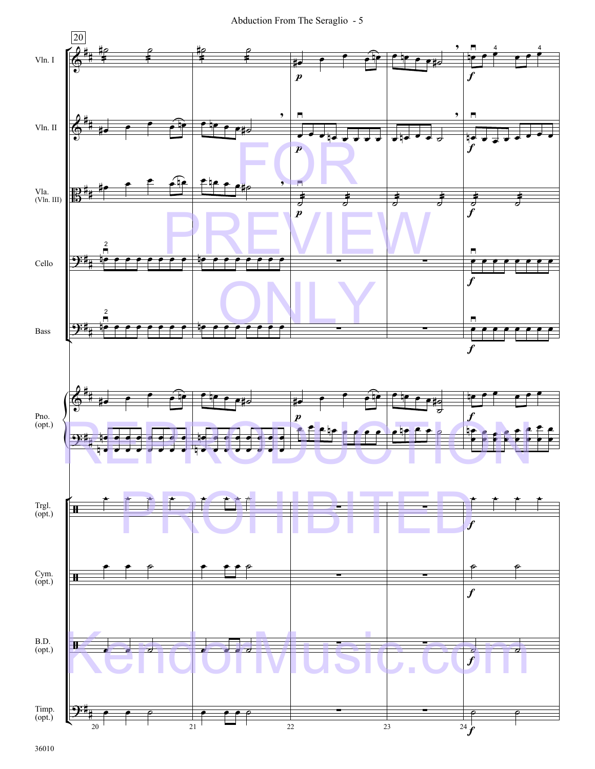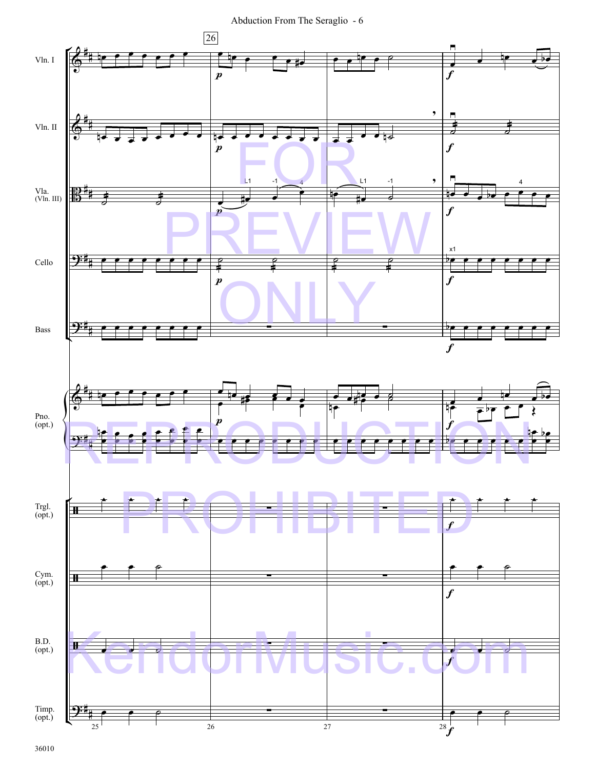Abduction From The Seraglio - 6

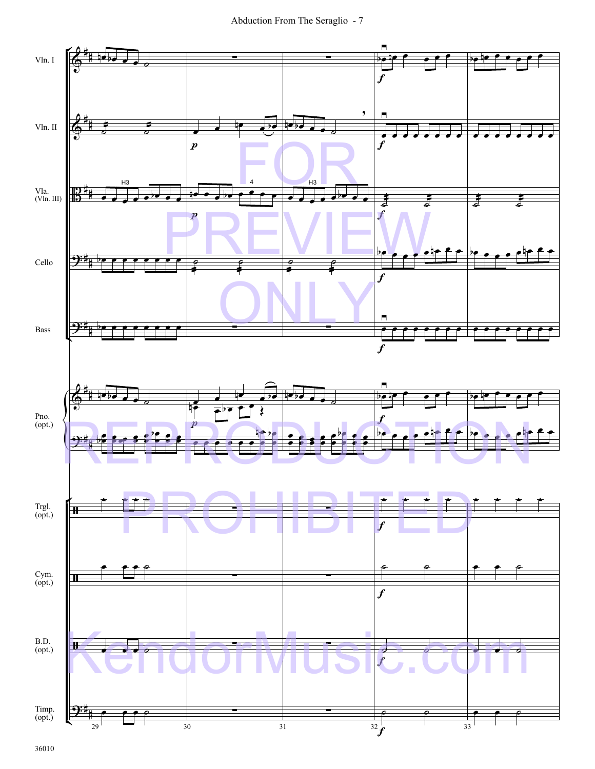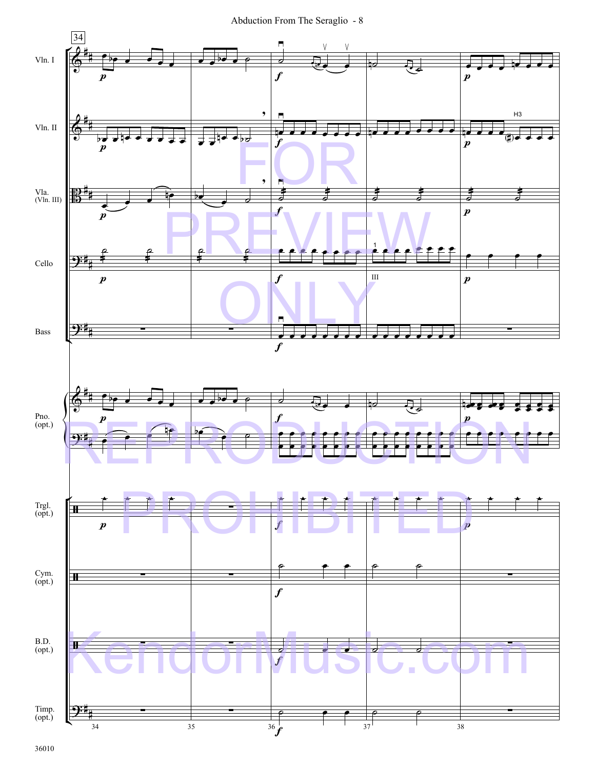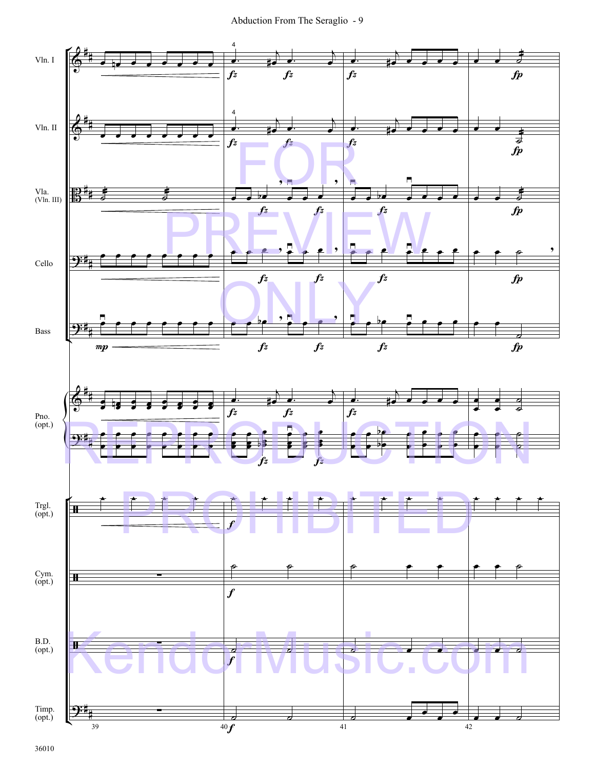Abduction From The Seraglio - 9

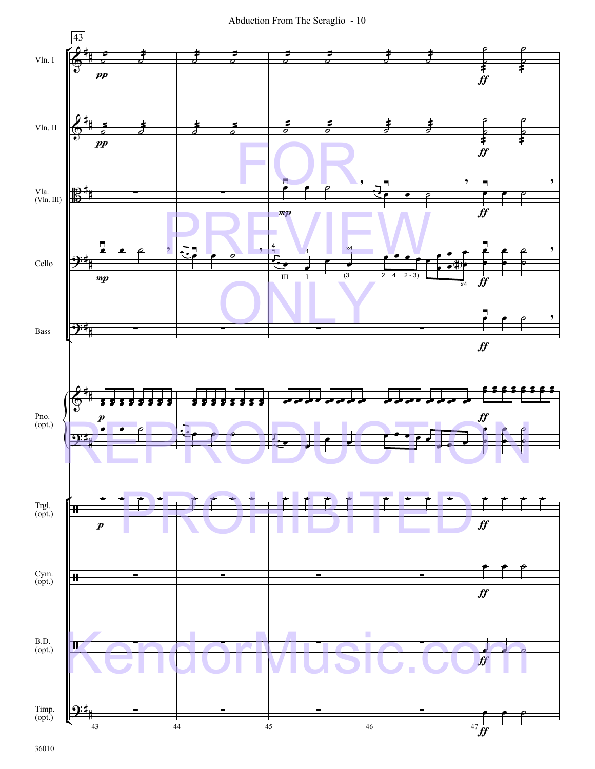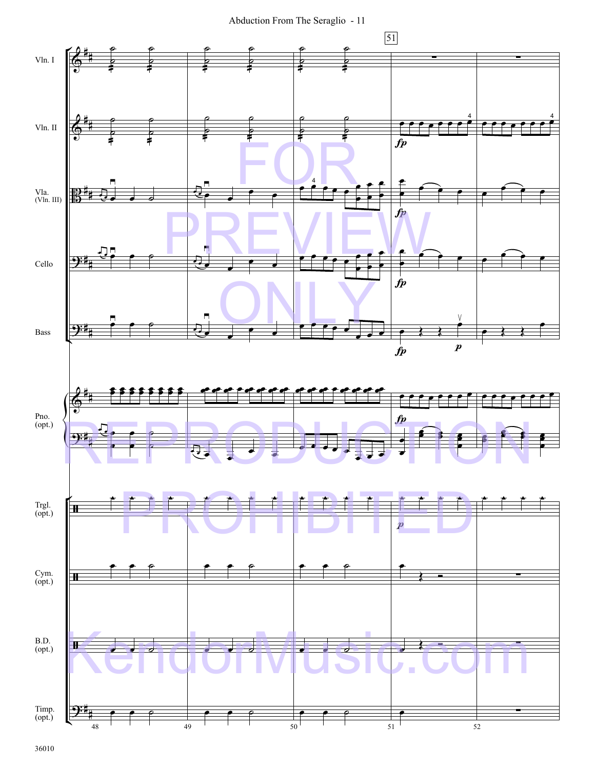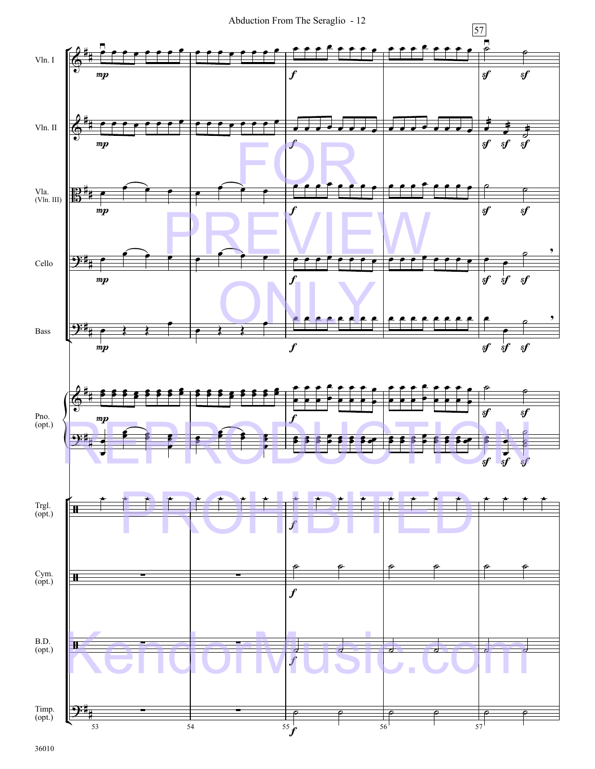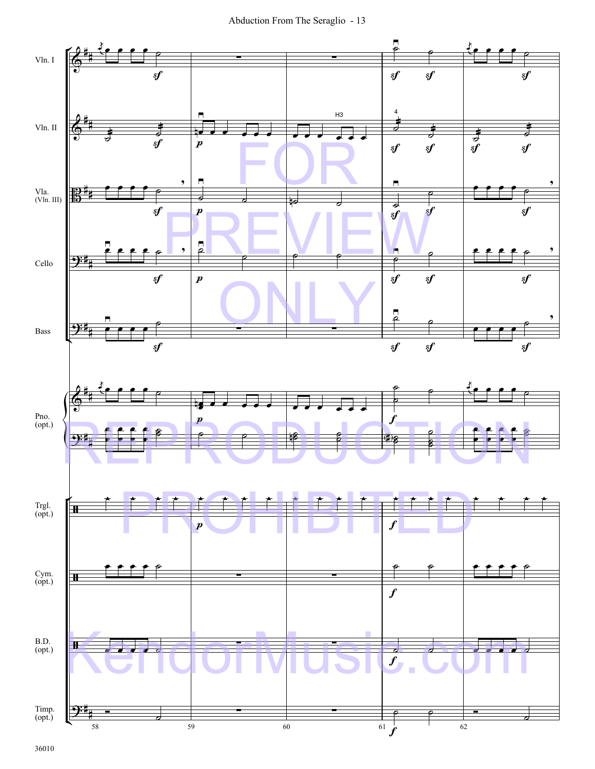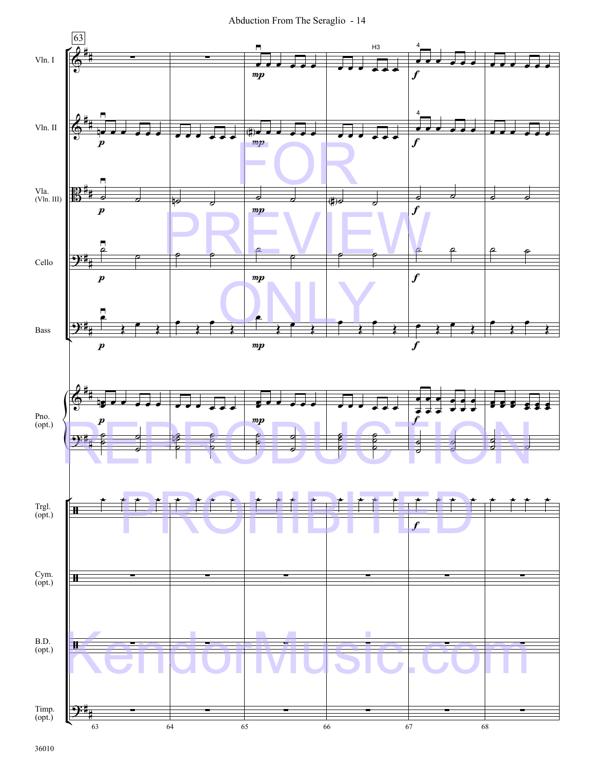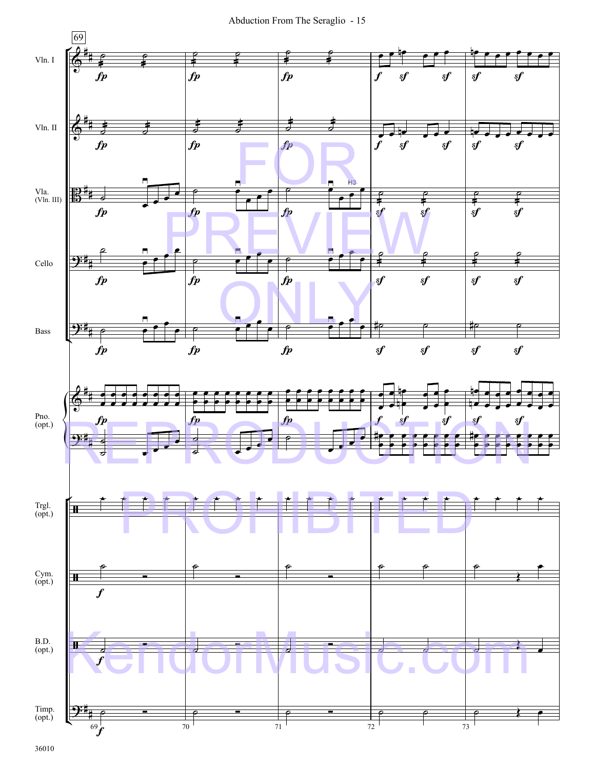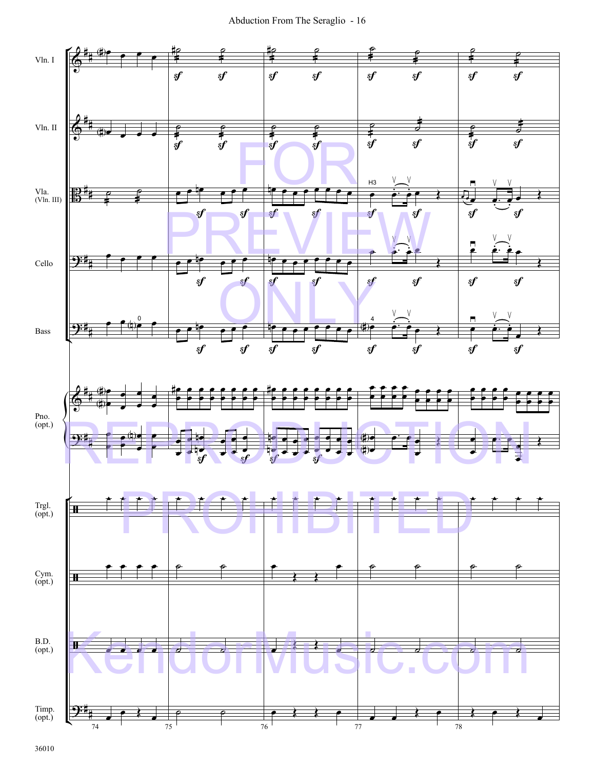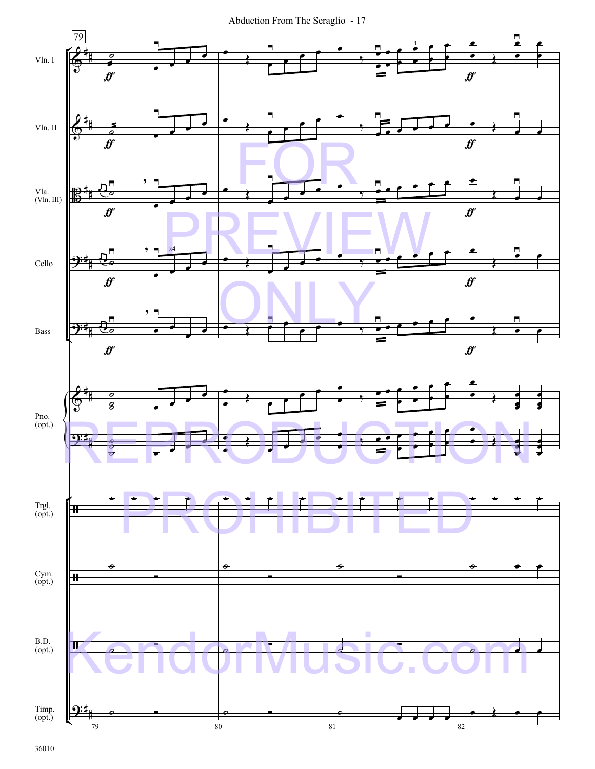Abduction From The Seraglio - 17